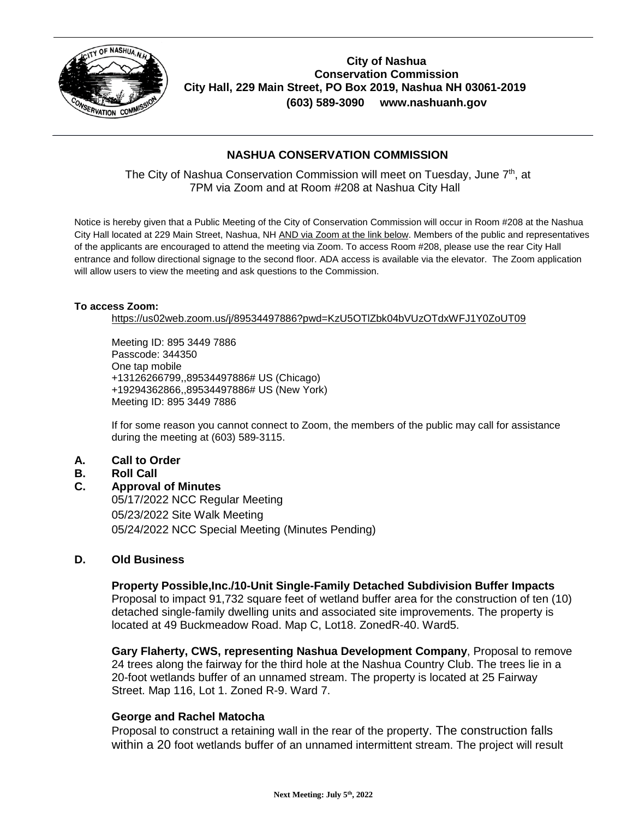

**City of Nashua Conservation Commission City Hall, 229 Main Street, PO Box 2019, Nashua NH 03061-2019 (603) 589-3090 www.nashuanh.gov**

# **NASHUA CONSERVATION COMMISSION**

The City of Nashua Conservation Commission will meet on Tuesday, June 7<sup>th</sup>, at 7PM via Zoom and at Room #208 at Nashua City Hall

Notice is hereby given that a Public Meeting of the City of Conservation Commission will occur in Room #208 at the Nashua City Hall located at 229 Main Street, Nashua, NH AND via Zoom at the link below. Members of the public and representatives of the applicants are encouraged to attend the meeting via Zoom. To access Room #208, please use the rear City Hall entrance and follow directional signage to the second floor. ADA access is available via the elevator. The Zoom application will allow users to view the meeting and ask questions to the Commission.

#### **To access Zoom:**

<https://us02web.zoom.us/j/89534497886?pwd=KzU5OTlZbk04bVUzOTdxWFJ1Y0ZoUT09>

Meeting ID: 895 3449 7886 Passcode: 344350 One tap mobile +13126266799,,89534497886# US (Chicago) +19294362866,,89534497886# US (New York) Meeting ID: 895 3449 7886

If for some reason you cannot connect to Zoom, the members of the public may call for assistance during the meeting at (603) 589-3115.

## **A. Call to Order**

## **B. Roll Call**

**C. Approval of Minutes**

05/17/2022 NCC Regular Meeting 05/23/2022 Site Walk Meeting 05/24/2022 NCC Special Meeting *(Minutes Pending)*

### **D. Old Business**

**Property Possible,Inc./10-Unit Single-Family Detached Subdivision Buffer Impacts** Proposal to impact 91,732 square feet of wetland buffer area for the construction of ten (10) detached single-family dwelling units and associated site improvements. The property is located at 49 Buckmeadow Road. Map C, Lot18. ZonedR-40. Ward5.

**Gary Flaherty, CWS, representing Nashua Development Company**, Proposal to remove 24 trees along the fairway for the third hole at the Nashua Country Club. The trees lie in a 20-foot wetlands buffer of an unnamed stream. The property is located at 25 Fairway Street. Map 116, Lot 1. Zoned R-9. Ward 7.

#### **George and Rachel Matocha**

Proposal to construct a retaining wall in the rear of the property. The construction falls within a 20 foot wetlands buffer of an unnamed intermittent stream. The project will result